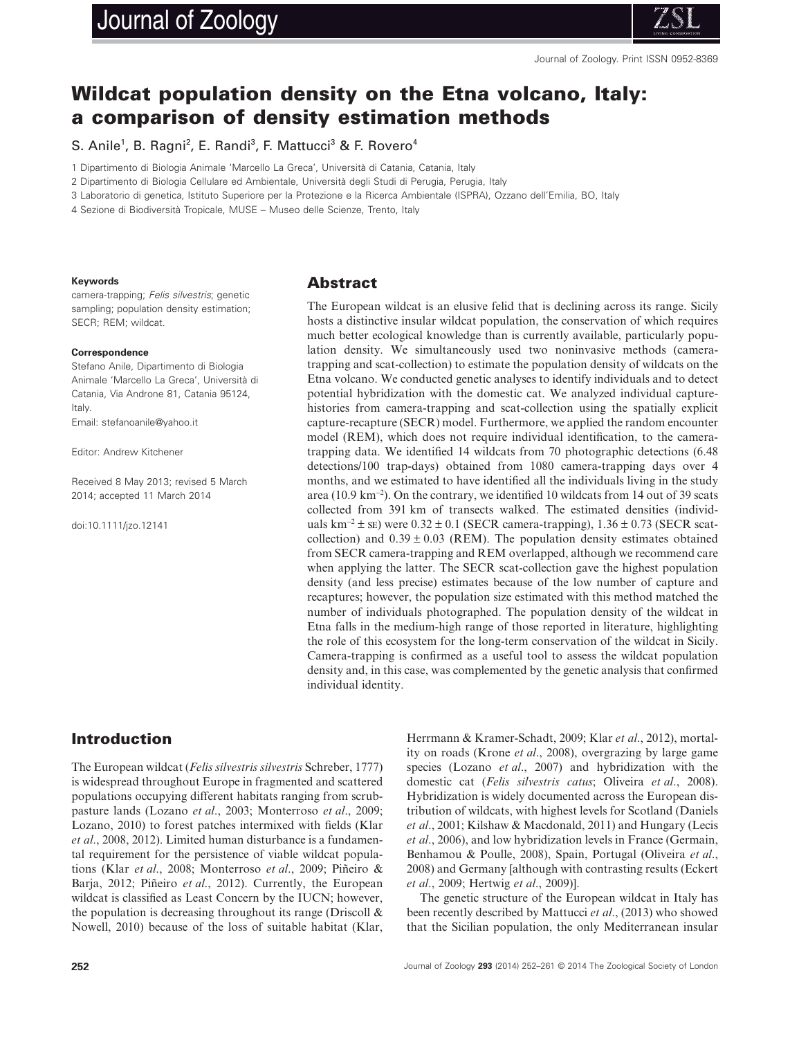# Journal of Zoology



# **Wildcat population density on the Etna volcano, Italy: a comparison of density estimation methods**

S. Anile<sup>1</sup>, B. Ragni<sup>2</sup>, E. Randi<sup>3</sup>, F. Mattucci<sup>3</sup> & F. Rovero<sup>4</sup>

1 Dipartimento di Biologia Animale 'Marcello La Greca', Università di Catania, Catania, Italy

2 Dipartimento di Biologia Cellulare ed Ambientale, Università degli Studi di Perugia, Perugia, Italy

3 Laboratorio di genetica, Istituto Superiore per la Protezione e la Ricerca Ambientale (ISPRA), Ozzano dell'Emilia, BO, Italy

4 Sezione di Biodiversità Tropicale, MUSE – Museo delle Scienze, Trento, Italy

#### **Keywords**

camera-trapping; *Felis silvestris*; genetic sampling; population density estimation; SECR; REM; wildcat.

#### **Correspondence**

Stefano Anile, Dipartimento di Biologia Animale 'Marcello La Greca', Università di Catania, Via Androne 81, Catania 95124, Italy. Email: stefanoanile@yahoo.it

Editor: Andrew Kitchener

Received 8 May 2013; revised 5 March 2014; accepted 11 March 2014

doi:10.1111/jzo.12141

#### **Abstract**

The European wildcat is an elusive felid that is declining across its range. Sicily hosts a distinctive insular wildcat population, the conservation of which requires much better ecological knowledge than is currently available, particularly population density. We simultaneously used two noninvasive methods (cameratrapping and scat-collection) to estimate the population density of wildcats on the Etna volcano. We conducted genetic analyses to identify individuals and to detect potential hybridization with the domestic cat. We analyzed individual capturehistories from camera-trapping and scat-collection using the spatially explicit capture-recapture (SECR) model. Furthermore, we applied the random encounter model (REM), which does not require individual identification, to the cameratrapping data. We identified 14 wildcats from 70 photographic detections (6.48 detections/100 trap-days) obtained from 1080 camera-trapping days over 4 months, and we estimated to have identified all the individuals living in the study area (10.9 km<sup>−</sup><sup>2</sup> ). On the contrary, we identified 10 wildcats from 14 out of 39 scats collected from 391 km of transects walked. The estimated densities (individuals km<sup>-2</sup> ± se) were  $0.32 \pm 0.1$  (SECR camera-trapping),  $1.36 \pm 0.73$  (SECR scatcollection) and  $0.39 \pm 0.03$  (REM). The population density estimates obtained from SECR camera-trapping and REM overlapped, although we recommend care when applying the latter. The SECR scat-collection gave the highest population density (and less precise) estimates because of the low number of capture and recaptures; however, the population size estimated with this method matched the number of individuals photographed. The population density of the wildcat in Etna falls in the medium-high range of those reported in literature, highlighting the role of this ecosystem for the long-term conservation of the wildcat in Sicily. Camera-trapping is confirmed as a useful tool to assess the wildcat population density and, in this case, was complemented by the genetic analysis that confirmed individual identity.

# **Introduction**

The European wildcat (*Felis silvestris silvestris* Schreber, 1777) is widespread throughout Europe in fragmented and scattered populations occupying different habitats ranging from scrubpasture lands (Lozano *et al*., 2003; Monterroso *et al*., 2009; Lozano, 2010) to forest patches intermixed with fields (Klar *et al*., 2008, 2012). Limited human disturbance is a fundamental requirement for the persistence of viable wildcat populations (Klar *et al*., 2008; Monterroso *et al*., 2009; Piñeiro & Barja, 2012; Piñeiro *et al*., 2012). Currently, the European wildcat is classified as Least Concern by the IUCN; however, the population is decreasing throughout its range (Driscoll  $\&$ Nowell, 2010) because of the loss of suitable habitat (Klar,

Herrmann & Kramer-Schadt, 2009; Klar *et al*., 2012), mortality on roads (Krone *et al*., 2008), overgrazing by large game species (Lozano *et al*., 2007) and hybridization with the domestic cat (*Felis silvestris catus*; Oliveira *et al*., 2008). Hybridization is widely documented across the European distribution of wildcats, with highest levels for Scotland (Daniels *et al*., 2001; Kilshaw & Macdonald, 2011) and Hungary (Lecis *et al*., 2006), and low hybridization levels in France (Germain, Benhamou & Poulle, 2008), Spain, Portugal (Oliveira *et al*., 2008) and Germany [although with contrasting results (Eckert *et al*., 2009; Hertwig *et al*., 2009)].

The genetic structure of the European wildcat in Italy has been recently described by Mattucci *et al*., (2013) who showed that the Sicilian population, the only Mediterranean insular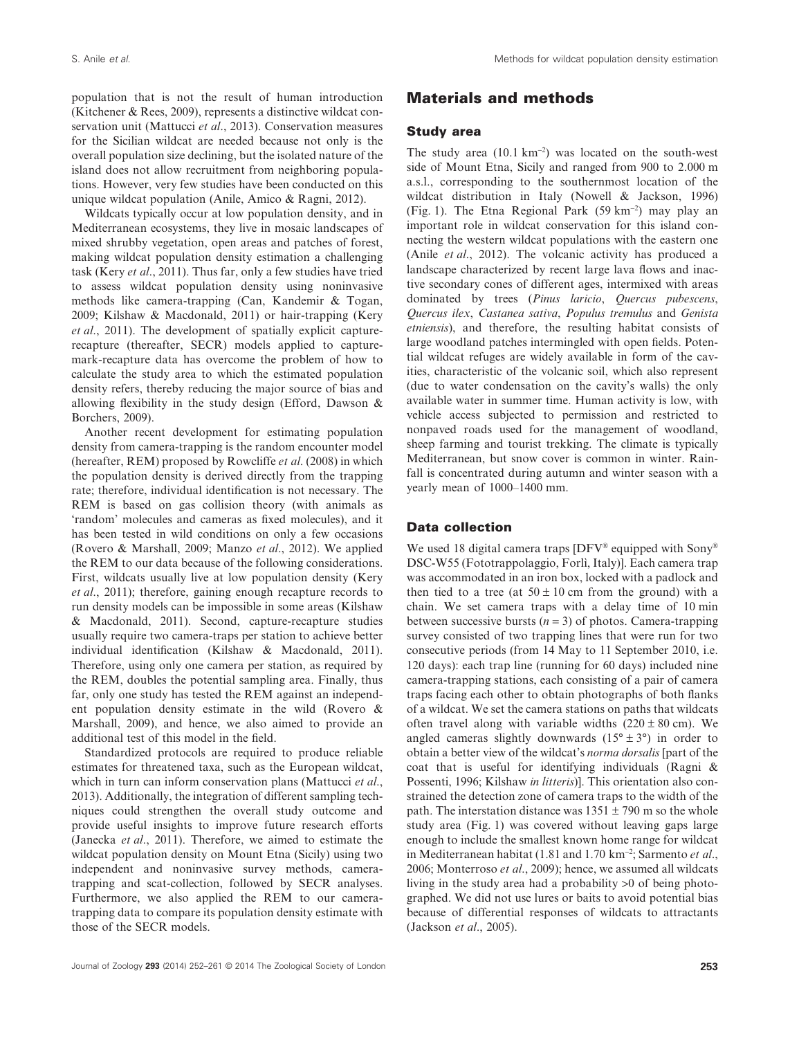population that is not the result of human introduction (Kitchener & Rees, 2009), represents a distinctive wildcat conservation unit (Mattucci *et al*., 2013). Conservation measures for the Sicilian wildcat are needed because not only is the overall population size declining, but the isolated nature of the island does not allow recruitment from neighboring populations. However, very few studies have been conducted on this unique wildcat population (Anile, Amico & Ragni, 2012).

Wildcats typically occur at low population density, and in Mediterranean ecosystems, they live in mosaic landscapes of mixed shrubby vegetation, open areas and patches of forest, making wildcat population density estimation a challenging task (Kery *et al*., 2011). Thus far, only a few studies have tried to assess wildcat population density using noninvasive methods like camera-trapping (Can, Kandemir & Togan, 2009; Kilshaw & Macdonald, 2011) or hair-trapping (Kery *et al*., 2011). The development of spatially explicit capturerecapture (thereafter, SECR) models applied to capturemark-recapture data has overcome the problem of how to calculate the study area to which the estimated population density refers, thereby reducing the major source of bias and allowing flexibility in the study design (Efford, Dawson & Borchers, 2009).

Another recent development for estimating population density from camera-trapping is the random encounter model (hereafter, REM) proposed by Rowcliffe *et al*. (2008) in which the population density is derived directly from the trapping rate; therefore, individual identification is not necessary. The REM is based on gas collision theory (with animals as 'random' molecules and cameras as fixed molecules), and it has been tested in wild conditions on only a few occasions (Rovero & Marshall, 2009; Manzo *et al*., 2012). We applied the REM to our data because of the following considerations. First, wildcats usually live at low population density (Kery *et al*., 2011); therefore, gaining enough recapture records to run density models can be impossible in some areas (Kilshaw & Macdonald, 2011). Second, capture-recapture studies usually require two camera-traps per station to achieve better individual identification (Kilshaw & Macdonald, 2011). Therefore, using only one camera per station, as required by the REM, doubles the potential sampling area. Finally, thus far, only one study has tested the REM against an independent population density estimate in the wild (Rovero & Marshall, 2009), and hence, we also aimed to provide an additional test of this model in the field.

Standardized protocols are required to produce reliable estimates for threatened taxa, such as the European wildcat, which in turn can inform conservation plans (Mattucci *et al*., 2013). Additionally, the integration of different sampling techniques could strengthen the overall study outcome and provide useful insights to improve future research efforts (Janecka *et al*., 2011). Therefore, we aimed to estimate the wildcat population density on Mount Etna (Sicily) using two independent and noninvasive survey methods, cameratrapping and scat-collection, followed by SECR analyses. Furthermore, we also applied the REM to our cameratrapping data to compare its population density estimate with those of the SECR models.

# **Materials and methods**

#### **Study area**

The study area  $(10.1 \text{ km}^{-2})$  was located on the south-west side of Mount Etna, Sicily and ranged from 900 to 2.000 m a.s.l., corresponding to the southernmost location of the wildcat distribution in Italy (Nowell & Jackson, 1996) (Fig. 1). The Etna Regional Park (59 km<sup>−</sup><sup>2</sup> ) may play an important role in wildcat conservation for this island connecting the western wildcat populations with the eastern one (Anile *et al*., 2012). The volcanic activity has produced a landscape characterized by recent large lava flows and inactive secondary cones of different ages, intermixed with areas dominated by trees (*Pinus laricio*, *Quercus pubescens*, *Quercus ilex*, *Castanea sativa*, *Populus tremulus* and *Genista etniensis*), and therefore, the resulting habitat consists of large woodland patches intermingled with open fields. Potential wildcat refuges are widely available in form of the cavities, characteristic of the volcanic soil, which also represent (due to water condensation on the cavity's walls) the only available water in summer time. Human activity is low, with vehicle access subjected to permission and restricted to nonpaved roads used for the management of woodland, sheep farming and tourist trekking. The climate is typically Mediterranean, but snow cover is common in winter. Rainfall is concentrated during autumn and winter season with a yearly mean of 1000–1400 mm.

### **Data collection**

We used 18 digital camera traps  $[DFV^{\circledast}$  equipped with Sony<sup>®</sup> DSC-W55 (Fototrappolaggio, Forlì, Italy)]. Each camera trap was accommodated in an iron box, locked with a padlock and then tied to a tree (at  $50 \pm 10$  cm from the ground) with a chain. We set camera traps with a delay time of 10 min between successive bursts  $(n = 3)$  of photos. Camera-trapping survey consisted of two trapping lines that were run for two consecutive periods (from 14 May to 11 September 2010, i.e. 120 days): each trap line (running for 60 days) included nine camera-trapping stations, each consisting of a pair of camera traps facing each other to obtain photographs of both flanks of a wildcat. We set the camera stations on paths that wildcats often travel along with variable widths  $(220 \pm 80 \text{ cm})$ . We angled cameras slightly downwards  $(15^{\circ} \pm 3^{\circ})$  in order to obtain a better view of the wildcat's *norma dorsalis* [part of the coat that is useful for identifying individuals (Ragni & Possenti, 1996; Kilshaw *in litteris*)]. This orientation also constrained the detection zone of camera traps to the width of the path. The interstation distance was  $1351 \pm 790$  m so the whole study area (Fig. 1) was covered without leaving gaps large enough to include the smallest known home range for wildcat in Mediterranean habitat (1.81 and 1.70 km<sup>−</sup><sup>2</sup> ; Sarmento *et al*., 2006; Monterroso *et al*., 2009); hence, we assumed all wildcats living in the study area had a probability >0 of being photographed. We did not use lures or baits to avoid potential bias because of differential responses of wildcats to attractants (Jackson *et al*., 2005).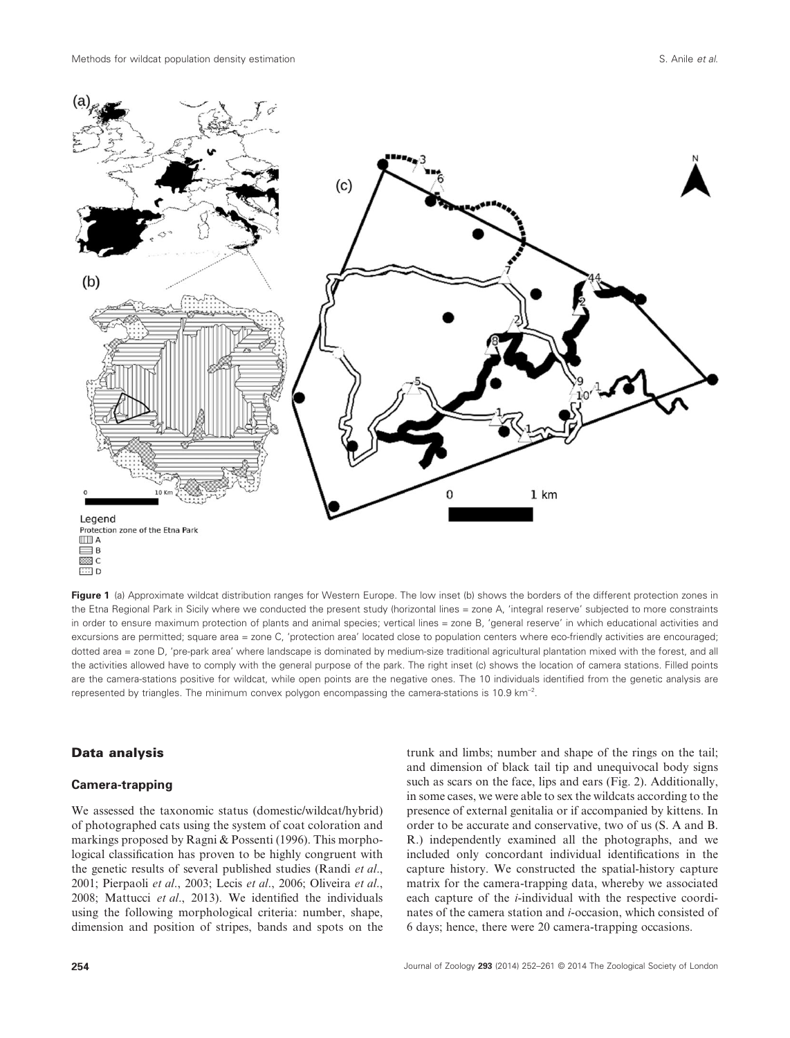

**Figure 1** (a) Approximate wildcat distribution ranges for Western Europe. The low inset (b) shows the borders of the different protection zones in the Etna Regional Park in Sicily where we conducted the present study (horizontal lines = zone A, 'integral reserve' subjected to more constraints in order to ensure maximum protection of plants and animal species; vertical lines = zone B, 'general reserve' in which educational activities and excursions are permitted; square area = zone C, 'protection area' located close to population centers where eco-friendly activities are encouraged; dotted area = zone D, 'pre-park area' where landscape is dominated by medium-size traditional agricultural plantation mixed with the forest, and all the activities allowed have to comply with the general purpose of the park. The right inset (c) shows the location of camera stations. Filled points are the camera-stations positive for wildcat, while open points are the negative ones. The 10 individuals identified from the genetic analysis are represented by triangles. The minimum convex polygon encompassing the camera-stations is 10.9 km<sup>−</sup><sup>2</sup> .

#### **Data analysis**

#### **Camera-trapping**

We assessed the taxonomic status (domestic/wildcat/hybrid) of photographed cats using the system of coat coloration and markings proposed by Ragni & Possenti (1996). This morphological classification has proven to be highly congruent with the genetic results of several published studies (Randi *et al*., 2001; Pierpaoli *et al*., 2003; Lecis *et al*., 2006; Oliveira *et al*., 2008; Mattucci *et al*., 2013). We identified the individuals using the following morphological criteria: number, shape, dimension and position of stripes, bands and spots on the

trunk and limbs; number and shape of the rings on the tail; and dimension of black tail tip and unequivocal body signs such as scars on the face, lips and ears (Fig. 2). Additionally, in some cases, we were able to sex the wildcats according to the presence of external genitalia or if accompanied by kittens. In order to be accurate and conservative, two of us (S. A and B. R.) independently examined all the photographs, and we included only concordant individual identifications in the capture history. We constructed the spatial-history capture matrix for the camera-trapping data, whereby we associated each capture of the *i*-individual with the respective coordinates of the camera station and *i*-occasion, which consisted of 6 days; hence, there were 20 camera-trapping occasions.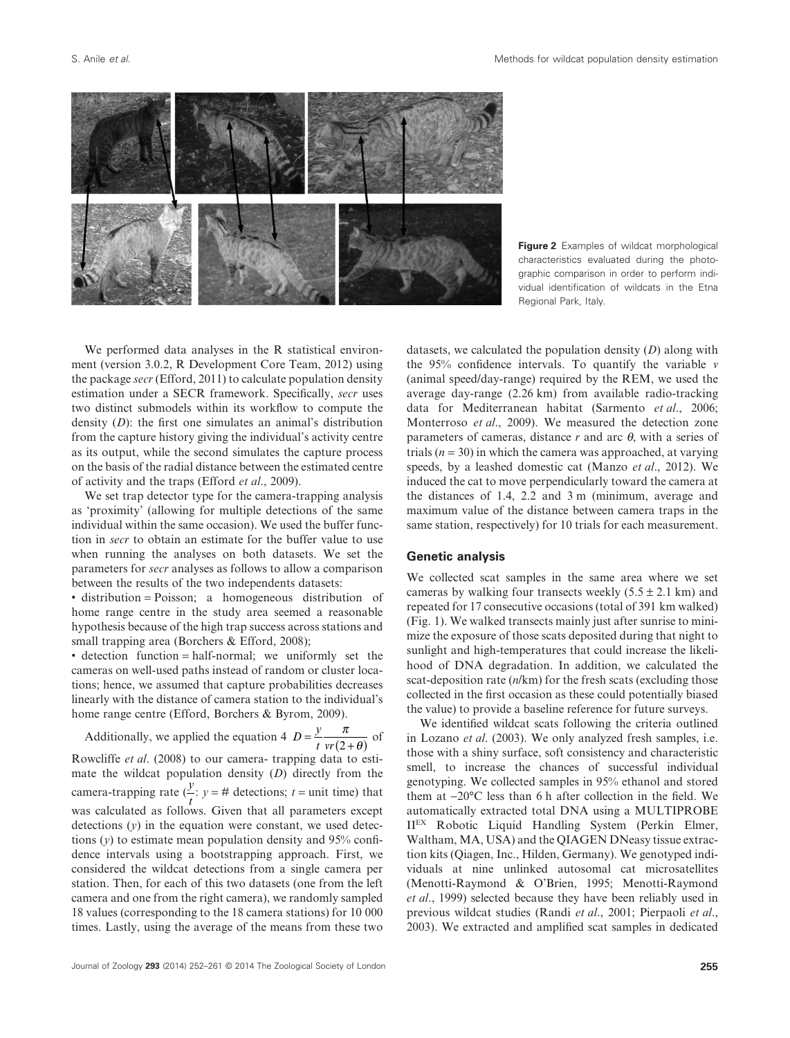![](_page_3_Figure_2.jpeg)

**Figure 2** Examples of wildcat morphological characteristics evaluated during the photographic comparison in order to perform individual identification of wildcats in the Etna Regional Park, Italy.

We performed data analyses in the R statistical environment (version 3.0.2, R Development Core Team, 2012) using the package *secr* (Efford, 2011) to calculate population density estimation under a SECR framework. Specifically, *secr* uses two distinct submodels within its workflow to compute the density (*D*): the first one simulates an animal's distribution from the capture history giving the individual's activity centre as its output, while the second simulates the capture process on the basis of the radial distance between the estimated centre of activity and the traps (Efford *et al*., 2009).

We set trap detector type for the camera-trapping analysis as 'proximity' (allowing for multiple detections of the same individual within the same occasion). We used the buffer function in *secr* to obtain an estimate for the buffer value to use when running the analyses on both datasets. We set the parameters for *secr* analyses as follows to allow a comparison between the results of the two independents datasets:

• distribution = Poisson; a homogeneous distribution of home range centre in the study area seemed a reasonable hypothesis because of the high trap success across stations and small trapping area (Borchers & Efford, 2008);

• detection function = half-normal; we uniformly set the cameras on well-used paths instead of random or cluster locations; hence, we assumed that capture probabilities decreases linearly with the distance of camera station to the individual's home range centre (Efford, Borchers & Byrom, 2009).

Additionally, we applied the equation 4  $D = \frac{y}{t} \frac{\pi}{vr(2+\theta)}$  $\frac{\pi}{2+\theta}$  of Rowcliffe *et al*. (2008) to our camera- trapping data to estimate the wildcat population density (*D*) directly from the camera-trapping rate  $(\frac{y}{t})$ :  $y = #$  detections;  $t =$  unit time) that was calculated as follows. Given that all parameters except detections (*y*) in the equation were constant, we used detections  $(y)$  to estimate mean population density and 95% confidence intervals using a bootstrapping approach. First, we considered the wildcat detections from a single camera per station. Then, for each of this two datasets (one from the left camera and one from the right camera), we randomly sampled 18 values (corresponding to the 18 camera stations) for 10 000 times. Lastly, using the average of the means from these two

datasets, we calculated the population density (*D*) along with the 95% confidence intervals. To quantify the variable *v* (animal speed/day-range) required by the REM, we used the average day-range (2.26 km) from available radio-tracking data for Mediterranean habitat (Sarmento *et al*., 2006; Monterroso *et al*., 2009). We measured the detection zone parameters of cameras, distance *r* and arc *θ*, with a series of trials  $(n = 30)$  in which the camera was approached, at varying speeds, by a leashed domestic cat (Manzo *et al*., 2012). We induced the cat to move perpendicularly toward the camera at the distances of 1.4, 2.2 and 3 m (minimum, average and maximum value of the distance between camera traps in the same station, respectively) for 10 trials for each measurement.

#### **Genetic analysis**

We collected scat samples in the same area where we set cameras by walking four transects weekly  $(5.5 \pm 2.1 \text{ km})$  and repeated for 17 consecutive occasions (total of 391 km walked) (Fig. 1). We walked transects mainly just after sunrise to minimize the exposure of those scats deposited during that night to sunlight and high-temperatures that could increase the likelihood of DNA degradation. In addition, we calculated the scat-deposition rate (*n*/km) for the fresh scats (excluding those collected in the first occasion as these could potentially biased the value) to provide a baseline reference for future surveys.

We identified wildcat scats following the criteria outlined in Lozano *et al*. (2003). We only analyzed fresh samples, i.e. those with a shiny surface, soft consistency and characteristic smell, to increase the chances of successful individual genotyping. We collected samples in 95% ethanol and stored them at −20°C less than 6 h after collection in the field. We automatically extracted total DNA using a MULTIPROBE IIEX Robotic Liquid Handling System (Perkin Elmer, Waltham, MA, USA) and the QIAGEN DNeasy tissue extraction kits (Qiagen, Inc., Hilden, Germany). We genotyped individuals at nine unlinked autosomal cat microsatellites (Menotti-Raymond & O'Brien, 1995; Menotti-Raymond *et al*., 1999) selected because they have been reliably used in previous wildcat studies (Randi *et al*., 2001; Pierpaoli *et al*., 2003). We extracted and amplified scat samples in dedicated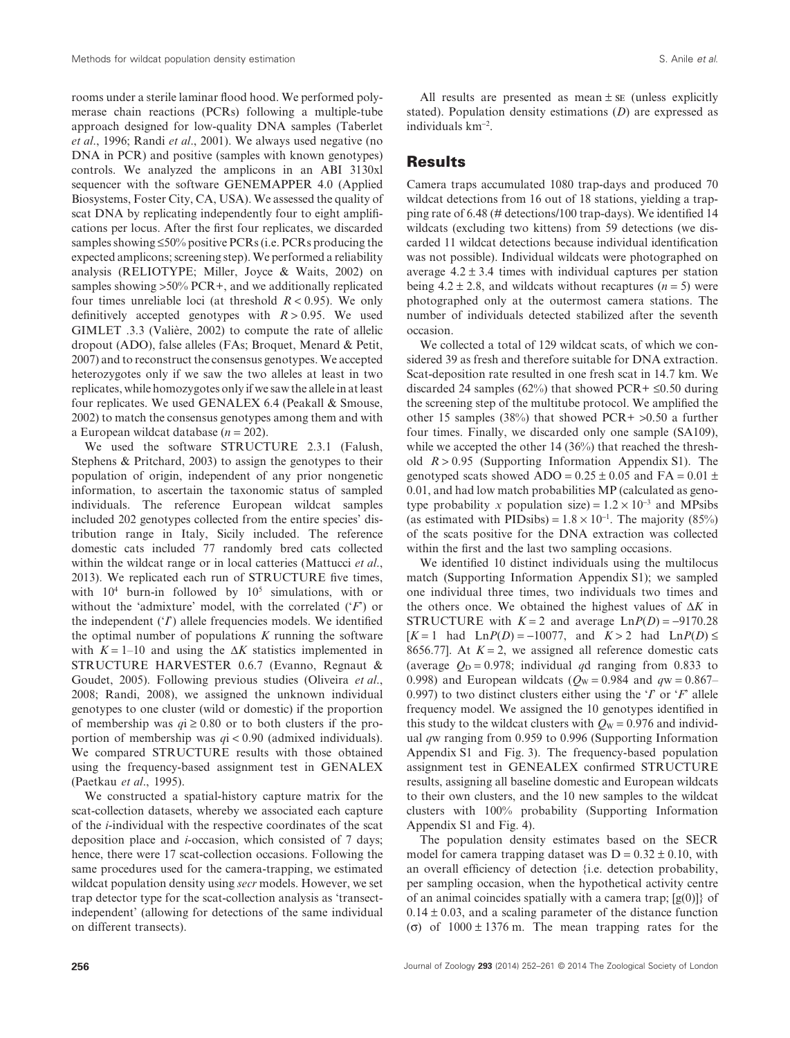rooms under a sterile laminar flood hood. We performed polymerase chain reactions (PCRs) following a multiple-tube approach designed for low-quality DNA samples (Taberlet *et al*., 1996; Randi *et al*., 2001). We always used negative (no DNA in PCR) and positive (samples with known genotypes) controls. We analyzed the amplicons in an ABI 3130xl sequencer with the software GENEMAPPER 4.0 (Applied Biosystems, Foster City, CA, USA). We assessed the quality of scat DNA by replicating independently four to eight amplifications per locus. After the first four replicates, we discarded samples showing  $\leq 50\%$  positive PCRs (i.e. PCRs producing the expected amplicons; screening step).We performed a reliability analysis (RELIOTYPE; Miller, Joyce & Waits, 2002) on samples showing >50% PCR+, and we additionally replicated four times unreliable loci (at threshold *R* < 0.95). We only definitively accepted genotypes with  $R > 0.95$ . We used GIMLET .3.3 (Valière, 2002) to compute the rate of allelic dropout (ADO), false alleles (FAs; Broquet, Menard & Petit, 2007) and to reconstruct the consensus genotypes. We accepted heterozygotes only if we saw the two alleles at least in two replicates, while homozygotes only if we saw the allele in at least four replicates. We used GENALEX 6.4 (Peakall & Smouse, 2002) to match the consensus genotypes among them and with a European wildcat database (*n* = 202).

We used the software STRUCTURE 2.3.1 (Falush, Stephens & Pritchard, 2003) to assign the genotypes to their population of origin, independent of any prior nongenetic information, to ascertain the taxonomic status of sampled individuals. The reference European wildcat samples included 202 genotypes collected from the entire species' distribution range in Italy, Sicily included. The reference domestic cats included 77 randomly bred cats collected within the wildcat range or in local catteries (Mattucci *et al*., 2013). We replicated each run of STRUCTURE five times, with  $10^4$  burn-in followed by  $10^5$  simulations, with or without the 'admixture' model, with the correlated ('*F*') or the independent ('*I*') allele frequencies models. We identified the optimal number of populations *K* running the software with  $K = 1-10$  and using the  $\Delta K$  statistics implemented in STRUCTURE HARVESTER 0.6.7 (Evanno, Regnaut & Goudet, 2005). Following previous studies (Oliveira *et al*., 2008; Randi, 2008), we assigned the unknown individual genotypes to one cluster (wild or domestic) if the proportion of membership was  $qi \ge 0.80$  or to both clusters if the proportion of membership was *q*i < 0.90 (admixed individuals). We compared STRUCTURE results with those obtained using the frequency-based assignment test in GENALEX (Paetkau *et al*., 1995).

We constructed a spatial-history capture matrix for the scat-collection datasets, whereby we associated each capture of the *i*-individual with the respective coordinates of the scat deposition place and *i*-occasion, which consisted of 7 days; hence, there were 17 scat-collection occasions. Following the same procedures used for the camera-trapping, we estimated wildcat population density using *secr* models. However, we set trap detector type for the scat-collection analysis as 'transectindependent' (allowing for detections of the same individual on different transects).

All results are presented as mean  $\pm$  se (unless explicitly stated). Population density estimations (*D*) are expressed as individuals km<sup>−</sup><sup>2</sup> .

#### **Results**

Camera traps accumulated 1080 trap-days and produced 70 wildcat detections from 16 out of 18 stations, yielding a trapping rate of 6.48 (# detections/100 trap-days). We identified 14 wildcats (excluding two kittens) from 59 detections (we discarded 11 wildcat detections because individual identification was not possible). Individual wildcats were photographed on average  $4.2 \pm 3.4$  times with individual captures per station being  $4.2 \pm 2.8$ , and wildcats without recaptures ( $n = 5$ ) were photographed only at the outermost camera stations. The number of individuals detected stabilized after the seventh occasion.

We collected a total of 129 wildcat scats, of which we considered 39 as fresh and therefore suitable for DNA extraction. Scat-deposition rate resulted in one fresh scat in 14.7 km. We discarded 24 samples (62%) that showed PCR+  $\leq 0.50$  during the screening step of the multitube protocol. We amplified the other 15 samples (38%) that showed PCR+ >0.50 a further four times. Finally, we discarded only one sample (SA109), while we accepted the other 14 (36%) that reached the threshold *R* > 0.95 (Supporting Information Appendix S1). The genotyped scats showed ADO =  $0.25 \pm 0.05$  and FA =  $0.01 \pm$ 0.01, and had low match probabilities MP (calculated as genotype probability *x* population size) =  $1.2 \times 10^{-3}$  and MPsibs (as estimated with PIDsibs) =  $1.8 \times 10^{-1}$ . The majority (85%) of the scats positive for the DNA extraction was collected within the first and the last two sampling occasions.

We identified 10 distinct individuals using the multilocus match (Supporting Information Appendix S1); we sampled one individual three times, two individuals two times and the others once. We obtained the highest values of Δ*K* in STRUCTURE with  $K = 2$  and average  $LnP(D) = -9170.28$  $[K=1 \text{ had } LnP(D) = -10077, \text{ and } K > 2 \text{ had } LnP(D) \le$ 8656.77]. At  $K = 2$ , we assigned all reference domestic cats (average  $Q_D = 0.978$ ; individual *q*d ranging from 0.833 to 0.998) and European wildcats ( $Q_W = 0.984$  and  $q_W = 0.867$ – 0.997) to two distinct clusters either using the '*I*' or '*F*' allele frequency model. We assigned the 10 genotypes identified in this study to the wildcat clusters with  $Q_W = 0.976$  and individual *q*w ranging from 0.959 to 0.996 (Supporting Information Appendix S1 and Fig. 3). The frequency-based population assignment test in GENEALEX confirmed STRUCTURE results, assigning all baseline domestic and European wildcats to their own clusters, and the 10 new samples to the wildcat clusters with 100% probability (Supporting Information Appendix S1 and Fig. 4).

The population density estimates based on the SECR model for camera trapping dataset was  $D = 0.32 \pm 0.10$ , with an overall efficiency of detection {i.e. detection probability, per sampling occasion, when the hypothetical activity centre of an animal coincides spatially with a camera trap;  $[g(0)]$  of  $0.14 \pm 0.03$ , and a scaling parameter of the distance function (σ) of 1000 ± 1376 m. The mean trapping rates for the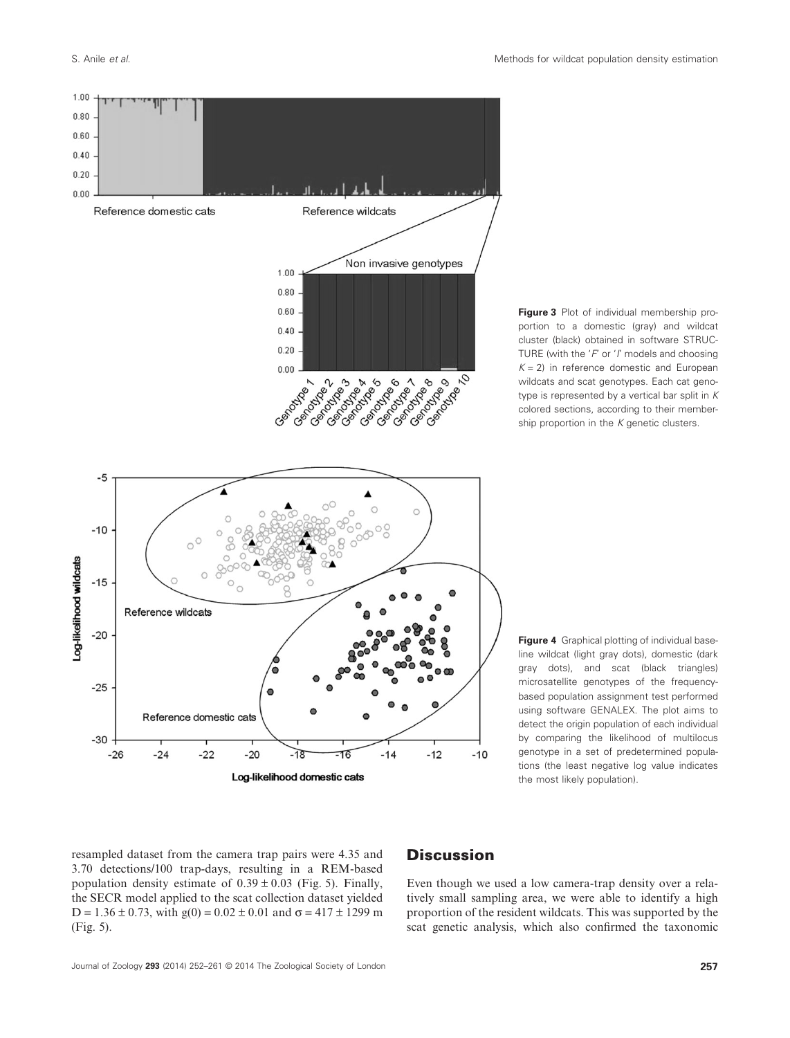![](_page_5_Figure_2.jpeg)

**Figure 3** Plot of individual membership proportion to a domestic (gray) and wildcat cluster (black) obtained in software STRUC-TURE (with the '*F*' or '*I*' models and choosing  $K = 2$ ) in reference domestic and European wildcats and scat genotypes. Each cat genotype is represented by a vertical bar split in *K* colored sections, according to their membership proportion in the *K* genetic clusters.

**Figure 4** Graphical plotting of individual baseline wildcat (light gray dots), domestic (dark gray dots), and scat (black triangles) microsatellite genotypes of the frequencybased population assignment test performed using software GENALEX. The plot aims to detect the origin population of each individual by comparing the likelihood of multilocus genotype in a set of predetermined populations (the least negative log value indicates the most likely population).

resampled dataset from the camera trap pairs were 4.35 and 3.70 detections/100 trap-days, resulting in a REM-based population density estimate of  $0.39 \pm 0.03$  (Fig. 5). Finally, the SECR model applied to the scat collection dataset yielded  $D = 1.36 \pm 0.73$ , with  $g(0) = 0.02 \pm 0.01$  and  $\sigma = 417 \pm 1299$  m (Fig. 5).

# **Discussion**

Even though we used a low camera-trap density over a relatively small sampling area, we were able to identify a high proportion of the resident wildcats. This was supported by the scat genetic analysis, which also confirmed the taxonomic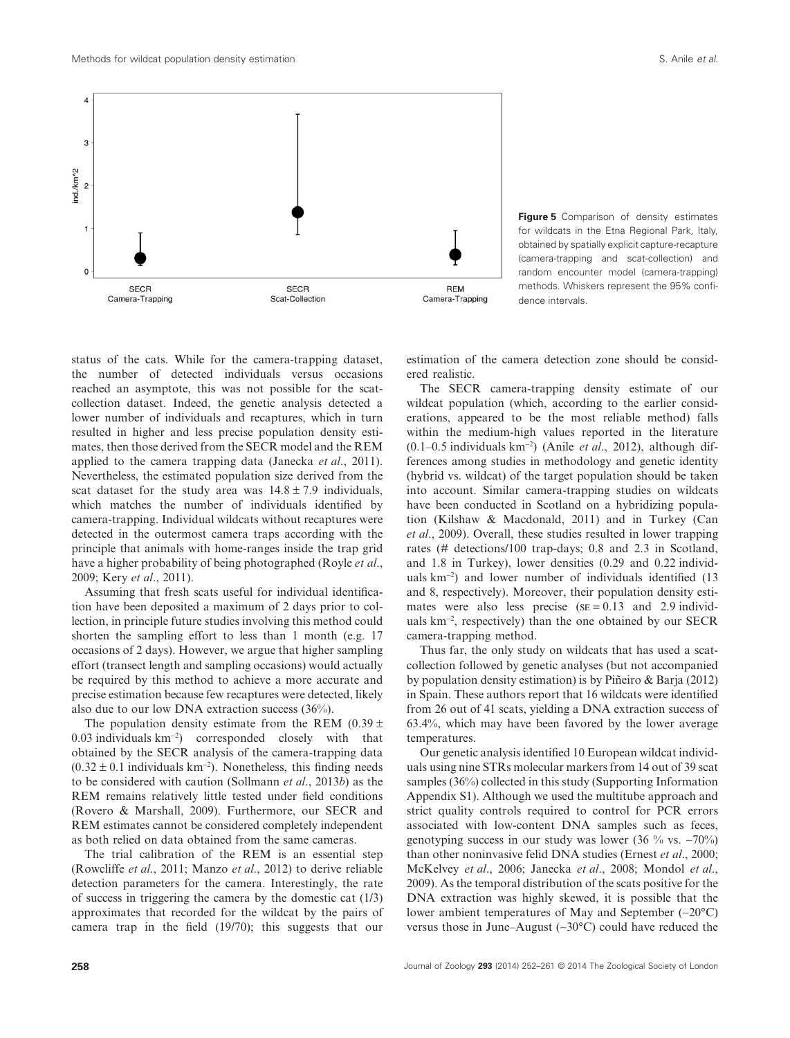![](_page_6_Figure_2.jpeg)

**Figure 5** Comparison of density estimates for wildcats in the Etna Regional Park, Italy, obtained by spatially explicit capture-recapture (camera-trapping and scat-collection) and random encounter model (camera-trapping) methods. Whiskers represent the 95% confidence intervals.

status of the cats. While for the camera-trapping dataset, the number of detected individuals versus occasions reached an asymptote, this was not possible for the scatcollection dataset. Indeed, the genetic analysis detected a lower number of individuals and recaptures, which in turn resulted in higher and less precise population density estimates, then those derived from the SECR model and the REM applied to the camera trapping data (Janecka *et al*., 2011). Nevertheless, the estimated population size derived from the scat dataset for the study area was  $14.8 \pm 7.9$  individuals, which matches the number of individuals identified by camera-trapping. Individual wildcats without recaptures were detected in the outermost camera traps according with the principle that animals with home-ranges inside the trap grid have a higher probability of being photographed (Royle *et al*., 2009; Kery *et al*., 2011).

Assuming that fresh scats useful for individual identification have been deposited a maximum of 2 days prior to collection, in principle future studies involving this method could shorten the sampling effort to less than 1 month (e.g. 17 occasions of 2 days). However, we argue that higher sampling effort (transect length and sampling occasions) would actually be required by this method to achieve a more accurate and precise estimation because few recaptures were detected, likely also due to our low DNA extraction success (36%).

The population density estimate from the REM  $(0.39 \pm 1)$ 0.03 individuals km<sup>−</sup><sup>2</sup> ) corresponded closely with that obtained by the SECR analysis of the camera-trapping data  $(0.32 \pm 0.1)$  individuals km<sup>-2</sup>). Nonetheless, this finding needs to be considered with caution (Sollmann *et al*., 2013*b*) as the REM remains relatively little tested under field conditions (Rovero & Marshall, 2009). Furthermore, our SECR and REM estimates cannot be considered completely independent as both relied on data obtained from the same cameras.

The trial calibration of the REM is an essential step (Rowcliffe *et al*., 2011; Manzo *et al*., 2012) to derive reliable detection parameters for the camera. Interestingly, the rate of success in triggering the camera by the domestic cat (1/3) approximates that recorded for the wildcat by the pairs of camera trap in the field (19/70); this suggests that our

estimation of the camera detection zone should be considered realistic.

The SECR camera-trapping density estimate of our wildcat population (which, according to the earlier considerations, appeared to be the most reliable method) falls within the medium-high values reported in the literature (0.1–0.5 individuals km<sup>−</sup><sup>2</sup> ) (Anile *et al*., 2012), although differences among studies in methodology and genetic identity (hybrid vs. wildcat) of the target population should be taken into account. Similar camera-trapping studies on wildcats have been conducted in Scotland on a hybridizing population (Kilshaw & Macdonald, 2011) and in Turkey (Can *et al*., 2009). Overall, these studies resulted in lower trapping rates (# detections/100 trap-days; 0.8 and 2.3 in Scotland, and 1.8 in Turkey), lower densities (0.29 and 0.22 individuals km<sup>−</sup><sup>2</sup> ) and lower number of individuals identified (13 and 8, respectively). Moreover, their population density estimates were also less precise  $(SE = 0.13$  and 2.9 individuals km<sup>−</sup><sup>2</sup> , respectively) than the one obtained by our SECR camera-trapping method.

Thus far, the only study on wildcats that has used a scatcollection followed by genetic analyses (but not accompanied by population density estimation) is by Piñeiro & Barja (2012) in Spain. These authors report that 16 wildcats were identified from 26 out of 41 scats, yielding a DNA extraction success of 63.4%, which may have been favored by the lower average temperatures.

Our genetic analysis identified 10 European wildcat individuals using nine STRs molecular markers from 14 out of 39 scat samples (36%) collected in this study (Supporting Information Appendix S1). Although we used the multitube approach and strict quality controls required to control for PCR errors associated with low-content DNA samples such as feces, genotyping success in our study was lower (36 % vs. ∼70%) than other noninvasive felid DNA studies (Ernest *et al*., 2000; McKelvey *et al*., 2006; Janecka *et al*., 2008; Mondol *et al*., 2009). As the temporal distribution of the scats positive for the DNA extraction was highly skewed, it is possible that the lower ambient temperatures of May and September (∼20°C) versus those in June–August (∼30°C) could have reduced the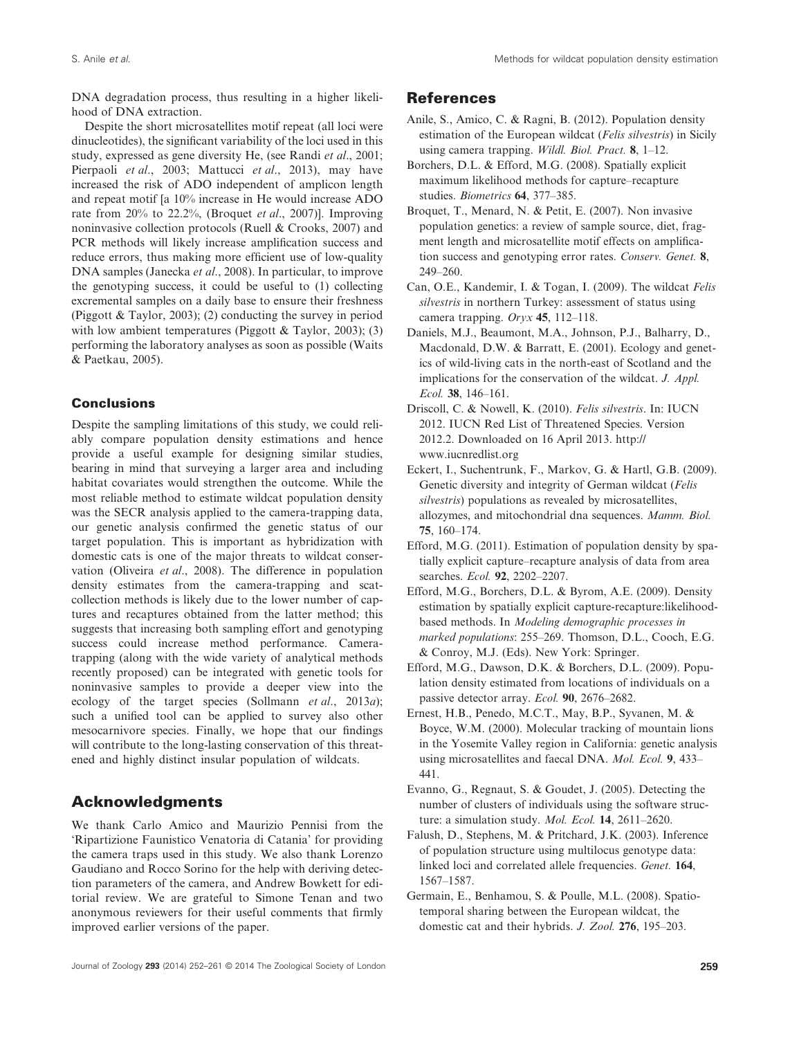DNA degradation process, thus resulting in a higher likelihood of DNA extraction.

Despite the short microsatellites motif repeat (all loci were dinucleotides), the significant variability of the loci used in this study, expressed as gene diversity He, (see Randi *et al*., 2001; Pierpaoli *et al*., 2003; Mattucci *et al*., 2013), may have increased the risk of ADO independent of amplicon length and repeat motif [a 10% increase in He would increase ADO rate from 20% to 22.2%, (Broquet *et al*., 2007)]. Improving noninvasive collection protocols (Ruell & Crooks, 2007) and PCR methods will likely increase amplification success and reduce errors, thus making more efficient use of low-quality DNA samples (Janecka *et al*., 2008). In particular, to improve the genotyping success, it could be useful to (1) collecting excremental samples on a daily base to ensure their freshness (Piggott & Taylor, 2003); (2) conducting the survey in period with low ambient temperatures (Piggott & Taylor, 2003); (3) performing the laboratory analyses as soon as possible (Waits & Paetkau, 2005).

# **Conclusions**

Despite the sampling limitations of this study, we could reliably compare population density estimations and hence provide a useful example for designing similar studies, bearing in mind that surveying a larger area and including habitat covariates would strengthen the outcome. While the most reliable method to estimate wildcat population density was the SECR analysis applied to the camera-trapping data, our genetic analysis confirmed the genetic status of our target population. This is important as hybridization with domestic cats is one of the major threats to wildcat conservation (Oliveira *et al*., 2008). The difference in population density estimates from the camera-trapping and scatcollection methods is likely due to the lower number of captures and recaptures obtained from the latter method; this suggests that increasing both sampling effort and genotyping success could increase method performance. Cameratrapping (along with the wide variety of analytical methods recently proposed) can be integrated with genetic tools for noninvasive samples to provide a deeper view into the ecology of the target species (Sollmann *et al*., 2013*a*); such a unified tool can be applied to survey also other mesocarnivore species. Finally, we hope that our findings will contribute to the long-lasting conservation of this threatened and highly distinct insular population of wildcats.

# **Acknowledgments**

We thank Carlo Amico and Maurizio Pennisi from the 'Ripartizione Faunistico Venatoria di Catania' for providing the camera traps used in this study. We also thank Lorenzo Gaudiano and Rocco Sorino for the help with deriving detection parameters of the camera, and Andrew Bowkett for editorial review. We are grateful to Simone Tenan and two anonymous reviewers for their useful comments that firmly improved earlier versions of the paper.

# **References**

- Anile, S., Amico, C. & Ragni, B. (2012). Population density estimation of the European wildcat (*Felis silvestris*) in Sicily using camera trapping. *Wildl. Biol. Pract.* **8**, 1–12.
- Borchers, D.L. & Efford, M.G. (2008). Spatially explicit maximum likelihood methods for capture–recapture studies. *Biometrics* **64**, 377–385.
- Broquet, T., Menard, N. & Petit, E. (2007). Non invasive population genetics: a review of sample source, diet, fragment length and microsatellite motif effects on amplification success and genotyping error rates. *Conserv. Genet.* **8**, 249–260.
- Can, O.E., Kandemir, I. & Togan, I. (2009). The wildcat *Felis silvestris* in northern Turkey: assessment of status using camera trapping. *Oryx* **45**, 112–118.
- Daniels, M.J., Beaumont, M.A., Johnson, P.J., Balharry, D., Macdonald, D.W. & Barratt, E. (2001). Ecology and genetics of wild-living cats in the north-east of Scotland and the implications for the conservation of the wildcat. *J. Appl. Ecol.* **38**, 146–161.
- Driscoll, C. & Nowell, K. (2010). *Felis silvestris*. In: IUCN 2012. IUCN Red List of Threatened Species. Version 2012.2. Downloaded on 16 April 2013. http:// www.iucnredlist.org
- Eckert, I., Suchentrunk, F., Markov, G. & Hartl, G.B. (2009). Genetic diversity and integrity of German wildcat (*Felis silvestris*) populations as revealed by microsatellites, allozymes, and mitochondrial dna sequences. *Mamm. Biol.* **75**, 160–174.
- Efford, M.G. (2011). Estimation of population density by spatially explicit capture–recapture analysis of data from area searches. *Ecol.* **92**, 2202–2207.
- Efford, M.G., Borchers, D.L. & Byrom, A.E. (2009). Density estimation by spatially explicit capture-recapture:likelihoodbased methods. In *Modeling demographic processes in marked populations*: 255–269. Thomson, D.L., Cooch, E.G. & Conroy, M.J. (Eds). New York: Springer.
- Efford, M.G., Dawson, D.K. & Borchers, D.L. (2009). Population density estimated from locations of individuals on a passive detector array. *Ecol.* **90**, 2676–2682.
- Ernest, H.B., Penedo, M.C.T., May, B.P., Syvanen, M. & Boyce, W.M. (2000). Molecular tracking of mountain lions in the Yosemite Valley region in California: genetic analysis using microsatellites and faecal DNA. *Mol. Ecol.* **9**, 433– 441.
- Evanno, G., Regnaut, S. & Goudet, J. (2005). Detecting the number of clusters of individuals using the software structure: a simulation study. *Mol. Ecol.* **14**, 2611–2620.
- Falush, D., Stephens, M. & Pritchard, J.K. (2003). Inference of population structure using multilocus genotype data: linked loci and correlated allele frequencies. *Genet.* **164**, 1567–1587.
- Germain, E., Benhamou, S. & Poulle, M.L. (2008). Spatiotemporal sharing between the European wildcat, the domestic cat and their hybrids. *J. Zool.* **276**, 195–203.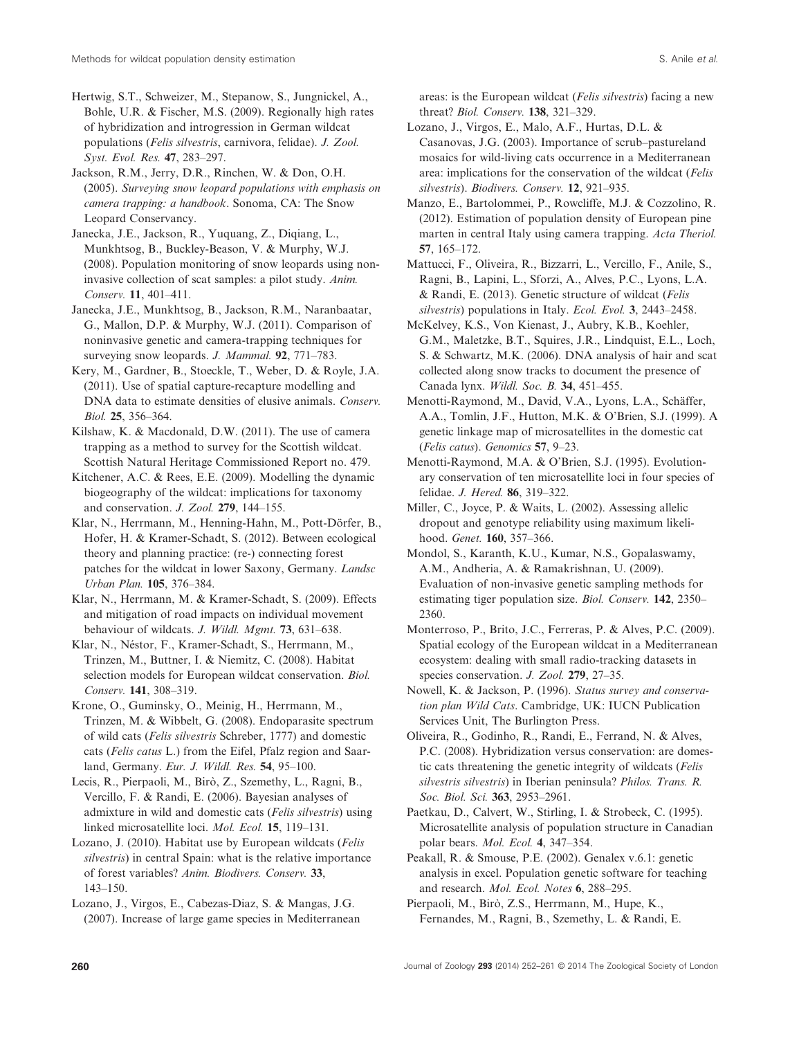Hertwig, S.T., Schweizer, M., Stepanow, S., Jungnickel, A., Bohle, U.R. & Fischer, M.S. (2009). Regionally high rates of hybridization and introgression in German wildcat populations (*Felis silvestris*, carnivora, felidae). *J. Zool. Syst. Evol. Res.* **47**, 283–297.

Jackson, R.M., Jerry, D.R., Rinchen, W. & Don, O.H. (2005). *Surveying snow leopard populations with emphasis on camera trapping: a handbook*. Sonoma, CA: The Snow Leopard Conservancy.

Janecka, J.E., Jackson, R., Yuquang, Z., Diqiang, L., Munkhtsog, B., Buckley-Beason, V. & Murphy, W.J. (2008). Population monitoring of snow leopards using noninvasive collection of scat samples: a pilot study. *Anim. Conserv.* **11**, 401–411.

Janecka, J.E., Munkhtsog, B., Jackson, R.M., Naranbaatar, G., Mallon, D.P. & Murphy, W.J. (2011). Comparison of noninvasive genetic and camera-trapping techniques for surveying snow leopards. *J. Mammal.* **92**, 771–783.

Kery, M., Gardner, B., Stoeckle, T., Weber, D. & Royle, J.A. (2011). Use of spatial capture-recapture modelling and DNA data to estimate densities of elusive animals. *Conserv. Biol.* **25**, 356–364.

Kilshaw, K. & Macdonald, D.W. (2011). The use of camera trapping as a method to survey for the Scottish wildcat. Scottish Natural Heritage Commissioned Report no. 479.

Kitchener, A.C. & Rees, E.E. (2009). Modelling the dynamic biogeography of the wildcat: implications for taxonomy and conservation. *J. Zool.* **279**, 144–155.

Klar, N., Herrmann, M., Henning-Hahn, M., Pott-Dörfer, B., Hofer, H. & Kramer-Schadt, S. (2012). Between ecological theory and planning practice: (re-) connecting forest patches for the wildcat in lower Saxony, Germany. *Landsc Urban Plan.* **105**, 376–384.

Klar, N., Herrmann, M. & Kramer-Schadt, S. (2009). Effects and mitigation of road impacts on individual movement behaviour of wildcats. *J. Wildl. Mgmt.* **73**, 631–638.

Klar, N., Néstor, F., Kramer-Schadt, S., Herrmann, M., Trinzen, M., Buttner, I. & Niemitz, C. (2008). Habitat selection models for European wildcat conservation. *Biol. Conserv.* **141**, 308–319.

Krone, O., Guminsky, O., Meinig, H., Herrmann, M., Trinzen, M. & Wibbelt, G. (2008). Endoparasite spectrum of wild cats (*Felis silvestris* Schreber, 1777) and domestic cats (*Felis catus* L.) from the Eifel, Pfalz region and Saarland, Germany. *Eur. J. Wildl. Res.* **54**, 95–100.

Lecis, R., Pierpaoli, M., Birò, Z., Szemethy, L., Ragni, B., Vercillo, F. & Randi, E. (2006). Bayesian analyses of admixture in wild and domestic cats (*Felis silvestris*) using linked microsatellite loci. *Mol. Ecol.* **15**, 119–131.

Lozano, J. (2010). Habitat use by European wildcats (*Felis silvestris*) in central Spain: what is the relative importance of forest variables? *Anim. Biodivers. Conserv.* **33**, 143–150.

Lozano, J., Virgos, E., Cabezas-Diaz, S. & Mangas, J.G. (2007). Increase of large game species in Mediterranean areas: is the European wildcat (*Felis silvestris*) facing a new threat? *Biol. Conserv.* **138**, 321–329.

Lozano, J., Virgos, E., Malo, A.F., Hurtas, D.L. & Casanovas, J.G. (2003). Importance of scrub–pastureland mosaics for wild-living cats occurrence in a Mediterranean area: implications for the conservation of the wildcat (*Felis silvestris*). *Biodivers. Conserv.* **12**, 921–935.

Manzo, E., Bartolommei, P., Rowcliffe, M.J. & Cozzolino, R. (2012). Estimation of population density of European pine marten in central Italy using camera trapping. *Acta Theriol.* **57**, 165–172.

Mattucci, F., Oliveira, R., Bizzarri, L., Vercillo, F., Anile, S., Ragni, B., Lapini, L., Sforzi, A., Alves, P.C., Lyons, L.A. & Randi, E. (2013). Genetic structure of wildcat (*Felis silvestris*) populations in Italy. *Ecol. Evol.* **3**, 2443–2458.

McKelvey, K.S., Von Kienast, J., Aubry, K.B., Koehler, G.M., Maletzke, B.T., Squires, J.R., Lindquist, E.L., Loch, S. & Schwartz, M.K. (2006). DNA analysis of hair and scat collected along snow tracks to document the presence of Canada lynx. *Wildl. Soc. B.* **34**, 451–455.

Menotti-Raymond, M., David, V.A., Lyons, L.A., Schäffer, A.A., Tomlin, J.F., Hutton, M.K. & O'Brien, S.J. (1999). A genetic linkage map of microsatellites in the domestic cat (*Felis catus*). *Genomics* **57**, 9–23.

Menotti-Raymond, M.A. & O'Brien, S.J. (1995). Evolutionary conservation of ten microsatellite loci in four species of felidae. *J. Hered.* **86**, 319–322.

Miller, C., Joyce, P. & Waits, L. (2002). Assessing allelic dropout and genotype reliability using maximum likelihood. *Genet.* **160**, 357–366.

Mondol, S., Karanth, K.U., Kumar, N.S., Gopalaswamy, A.M., Andheria, A. & Ramakrishnan, U. (2009). Evaluation of non-invasive genetic sampling methods for estimating tiger population size. *Biol. Conserv.* **142**, 2350– 2360.

Monterroso, P., Brito, J.C., Ferreras, P. & Alves, P.C. (2009). Spatial ecology of the European wildcat in a Mediterranean ecosystem: dealing with small radio-tracking datasets in species conservation. *J. Zool.* **279**, 27–35.

Nowell, K. & Jackson, P. (1996). *Status survey and conservation plan Wild Cats*. Cambridge, UK: IUCN Publication Services Unit, The Burlington Press.

Oliveira, R., Godinho, R., Randi, E., Ferrand, N. & Alves, P.C. (2008). Hybridization versus conservation: are domestic cats threatening the genetic integrity of wildcats (*Felis silvestris silvestris*) in Iberian peninsula? *Philos. Trans. R. Soc. Biol. Sci.* **363**, 2953–2961.

Paetkau, D., Calvert, W., Stirling, I. & Strobeck, C. (1995). Microsatellite analysis of population structure in Canadian polar bears. *Mol. Ecol.* **4**, 347–354.

Peakall, R. & Smouse, P.E. (2002). Genalex v.6.1: genetic analysis in excel. Population genetic software for teaching and research. *Mol. Ecol. Notes* **6**, 288–295.

Pierpaoli, M., Birò, Z.S., Herrmann, M., Hupe, K., Fernandes, M., Ragni, B., Szemethy, L. & Randi, E.